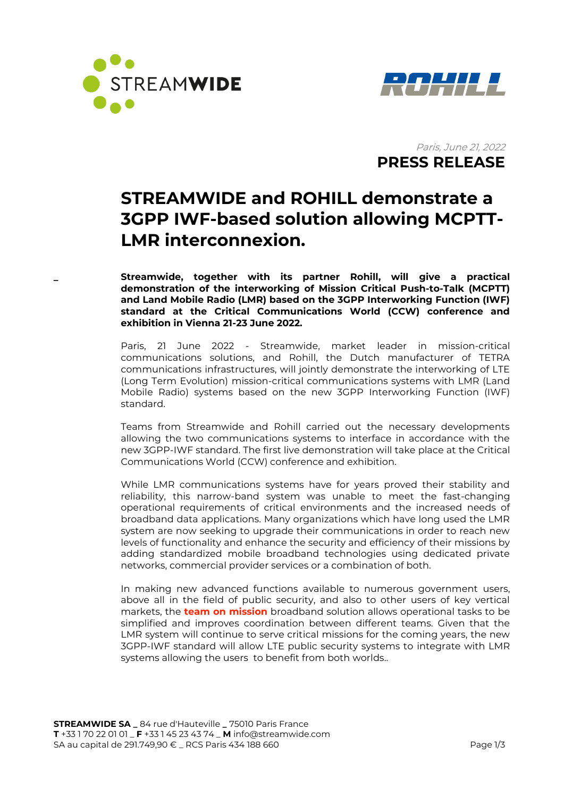



Paris, June 21, 2022  **PRESS RELEASE** 

# **STREAMWIDE and ROHILL demonstrate a 3GPP IWF-based solution allowing MCPTT-LMR interconnexion.**

**\_ Streamwide, together with its partner Rohill, will give a practical demonstration of the interworking of Mission Critical Push-to-Talk (MCPTT) and Land Mobile Radio (LMR) based on the 3GPP Interworking Function (IWF) standard at the Critical Communications World (CCW) conference and exhibition in Vienna 21-23 June 2022.**

Paris, 21 June 2022 - Streamwide, market leader in mission-critical communications solutions, and Rohill, the Dutch manufacturer of TETRA communications infrastructures, will jointly demonstrate the interworking of LTE (Long Term Evolution) mission-critical communications systems with LMR (Land Mobile Radio) systems based on the new 3GPP Interworking Function (IWF) standard.

Teams from Streamwide and Rohill carried out the necessary developments allowing the two communications systems to interface in accordance with the new 3GPP-IWF standard. The first live demonstration will take place at the Critical Communications World (CCW) conference and exhibition.

While LMR communications systems have for years proved their stability and reliability, this narrow-band system was unable to meet the fast-changing operational requirements of critical environments and the increased needs of broadband data applications. Many organizations which have long used the LMR system are now seeking to upgrade their communications in order to reach new levels of functionality and enhance the security and efficiency of their missions by adding standardized mobile broadband technologies using dedicated private networks, commercial provider services or a combination of both.

In making new advanced functions available to numerous government users, above all in the field of public security, and also to other users of key vertical markets, the **team on mission** broadband solution allows operational tasks to be simplified and improves coordination between different teams. Given that the LMR system will continue to serve critical missions for the coming years, the new 3GPP-IWF standard will allow LTE public security systems to integrate with LMR systems allowing the users to benefit from both worlds..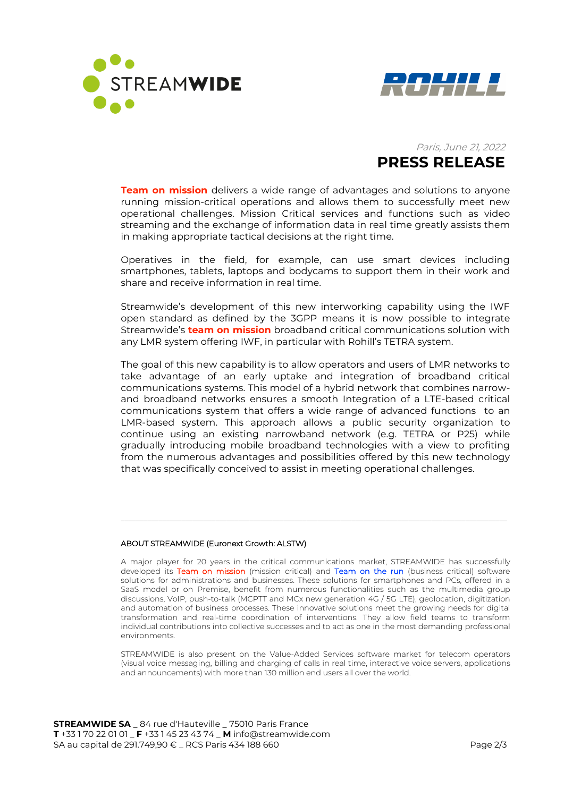





**Team on mission** delivers a wide range of advantages and solutions to anyone running mission-critical operations and allows them to successfully meet new operational challenges. Mission Critical services and functions such as video streaming and the exchange of information data in real time greatly assists them in making appropriate tactical decisions at the right time.

Operatives in the field, for example, can use smart devices including smartphones, tablets, laptops and bodycams to support them in their work and share and receive information in real time.

Streamwide's development of this new interworking capability using the IWF open standard as defined by the 3GPP means it is now possible to integrate Streamwide's **team on mission** broadband critical communications solution with any LMR system offering IWF, in particular with Rohill's TETRA system.

The goal of this new capability is to allow operators and users of LMR networks to take advantage of an early uptake and integration of broadband critical communications systems. This model of a hybrid network that combines narrowand broadband networks ensures a smooth Integration of a LTE-based critical communications system that offers a wide range of advanced functions to an LMR-based system. This approach allows a public security organization to continue using an existing narrowband network (e.g. TETRA or P25) while gradually introducing mobile broadband technologies with a view to profiting from the numerous advantages and possibilities offered by this new technology that was specifically conceived to assist in meeting operational challenges.

## ABOUT STREAMWIDE (Euronext Growth: ALSTW)

A major player for 20 years in the critical communications market, STREAMWIDE has successfully developed its Team on mission (mission critical) and Team on the run (business critical) software solutions for administrations and businesses. These solutions for smartphones and PCs, offered in a SaaS model or on Premise, benefit from numerous functionalities such as the multimedia group discussions, VoIP, push-to-talk (MCPTT and MCx new generation 4G / 5G LTE), geolocation, digitization and automation of business processes. These innovative solutions meet the growing needs for digital transformation and real-time coordination of interventions. They allow field teams to transform individual contributions into collective successes and to act as one in the most demanding professional environments.

\_\_\_\_\_\_\_\_\_\_\_\_\_\_\_\_\_\_\_\_\_\_\_\_\_\_\_\_\_\_\_\_\_\_\_\_\_\_\_\_\_\_\_\_\_\_\_\_\_\_\_\_\_\_\_\_\_\_\_\_\_\_\_\_\_\_\_\_\_\_\_\_\_\_\_\_\_\_\_\_\_\_\_\_\_\_\_\_\_\_\_\_\_\_\_\_\_\_\_\_\_\_

STREAMWIDE is also present on the Value-Added Services software market for telecom operators (visual voice messaging, billing and charging of calls in real time, interactive voice servers, applications and announcements) with more than 130 million end users all over the world.